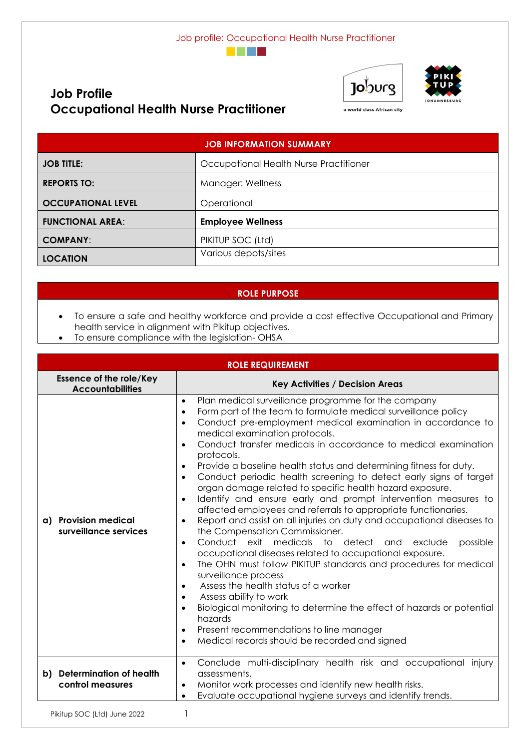





a world class African city

| <b>JOB INFORMATION SUMMARY</b> |                                        |  |  |
|--------------------------------|----------------------------------------|--|--|
| <b>JOB TITLE:</b>              | Occupational Health Nurse Practitioner |  |  |
| <b>REPORTS TO:</b>             | Manager: Wellness                      |  |  |
| <b>OCCUPATIONAL LEVEL</b>      | Operational                            |  |  |
| <b>FUNCTIONAL AREA:</b>        | <b>Employee Wellness</b>               |  |  |
| <b>COMPANY:</b>                | PIKITUP SOC (Ltd)                      |  |  |
| <b>LOCATION</b>                | Various depots/sites                   |  |  |

# **ROLE PURPOSE**

- To ensure a safe and healthy workforce and provide a cost effective Occupational and Primary health service in alignment with Pikitup objectives.
- To ensure compliance with the legislation- OHSA

**Occupational Health Nurse Practitioner**

**Job Profile**

|                                                           | <b>ROLE REQUIREMENT</b>                                                                                                                                                                                                                                                                                                                                                                                                                                                                                                                                                                                                                                                                                                                                                                                                                                                                                                                                                                                                                                                                                                                                                                                                                                                                                                                                                                                                                   |
|-----------------------------------------------------------|-------------------------------------------------------------------------------------------------------------------------------------------------------------------------------------------------------------------------------------------------------------------------------------------------------------------------------------------------------------------------------------------------------------------------------------------------------------------------------------------------------------------------------------------------------------------------------------------------------------------------------------------------------------------------------------------------------------------------------------------------------------------------------------------------------------------------------------------------------------------------------------------------------------------------------------------------------------------------------------------------------------------------------------------------------------------------------------------------------------------------------------------------------------------------------------------------------------------------------------------------------------------------------------------------------------------------------------------------------------------------------------------------------------------------------------------|
| <b>Essence of the role/Key</b><br><b>Accountabilities</b> | <b>Key Activities / Decision Areas</b>                                                                                                                                                                                                                                                                                                                                                                                                                                                                                                                                                                                                                                                                                                                                                                                                                                                                                                                                                                                                                                                                                                                                                                                                                                                                                                                                                                                                    |
| a) Provision medical<br>surveillance services             | Plan medical surveillance programme for the company<br>$\bullet$<br>Form part of the team to formulate medical surveillance policy<br>$\bullet$<br>Conduct pre-employment medical examination in accordance to<br>$\bullet$<br>medical examination protocols.<br>Conduct transfer medicals in accordance to medical examination<br>$\bullet$<br>protocols.<br>Provide a baseline health status and determining fitness for duty.<br>$\bullet$<br>Conduct periodic health screening to detect early signs of target<br>$\bullet$<br>organ damage related to specific health hazard exposure.<br>Identify and ensure early and prompt intervention measures to<br>$\bullet$<br>affected employees and referrals to appropriate functionaries.<br>Report and assist on all injuries on duty and occupational diseases to<br>$\bullet$<br>the Compensation Commissioner.<br>Conduct exit medicals to detect<br>possible<br>exclude<br>and<br>$\bullet$<br>occupational diseases related to occupational exposure.<br>The OHN must follow PIKITUP standards and procedures for medical<br>$\bullet$<br>surveillance process<br>Assess the health status of a worker<br>$\bullet$<br>Assess ability to work<br>$\bullet$<br>Biological monitoring to determine the effect of hazards or potential<br>$\bullet$<br>hazards<br>Present recommendations to line manager<br>$\bullet$<br>Medical records should be recorded and signed<br>$\bullet$ |
| b) Determination of health<br>control measures            | Conclude multi-disciplinary health risk and occupational injury<br>$\bullet$<br>assessments.<br>Monitor work processes and identify new health risks.<br>$\bullet$<br>Evaluate occupational hygiene surveys and identify trends.<br>$\bullet$                                                                                                                                                                                                                                                                                                                                                                                                                                                                                                                                                                                                                                                                                                                                                                                                                                                                                                                                                                                                                                                                                                                                                                                             |
|                                                           |                                                                                                                                                                                                                                                                                                                                                                                                                                                                                                                                                                                                                                                                                                                                                                                                                                                                                                                                                                                                                                                                                                                                                                                                                                                                                                                                                                                                                                           |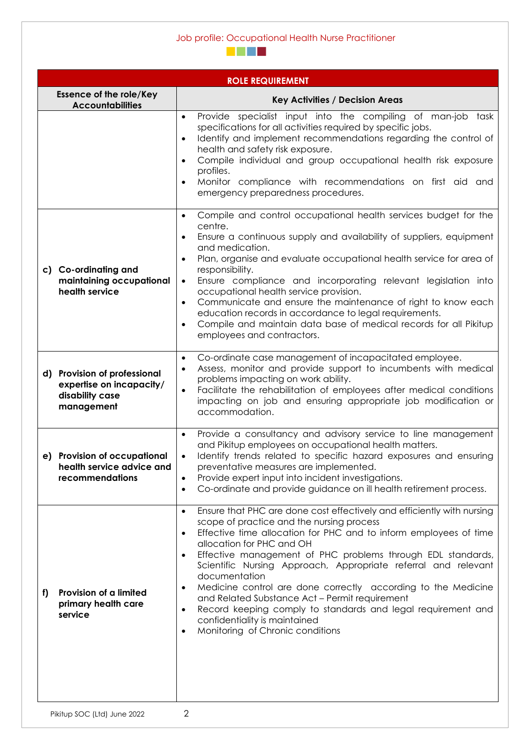# Job profile: Occupational Health Nurse Practitioner



|                                                                                           | <b>ROLE REQUIREMENT</b>                                                                                                                                                                                                                                                                                                                                                                                                                                                                                                                                                                                                                                   |
|-------------------------------------------------------------------------------------------|-----------------------------------------------------------------------------------------------------------------------------------------------------------------------------------------------------------------------------------------------------------------------------------------------------------------------------------------------------------------------------------------------------------------------------------------------------------------------------------------------------------------------------------------------------------------------------------------------------------------------------------------------------------|
| <b>Essence of the role/Key</b><br><b>Accountabilities</b>                                 | <b>Key Activities / Decision Areas</b>                                                                                                                                                                                                                                                                                                                                                                                                                                                                                                                                                                                                                    |
|                                                                                           | Provide specialist input into the compiling of man-job task<br>$\bullet$<br>specifications for all activities required by specific jobs.<br>Identify and implement recommendations regarding the control of<br>$\bullet$<br>health and safety risk exposure.<br>Compile individual and group occupational health risk exposure<br>profiles.<br>Monitor compliance with recommendations on first aid and<br>emergency preparedness procedures.                                                                                                                                                                                                             |
| c) Co-ordinating and<br>maintaining occupational<br>health service                        | Compile and control occupational health services budget for the<br>centre.<br>Ensure a continuous supply and availability of suppliers, equipment<br>and medication.<br>Plan, organise and evaluate occupational health service for area of<br>responsibility.<br>Ensure compliance and incorporating relevant legislation into<br>$\bullet$<br>occupational health service provision.<br>Communicate and ensure the maintenance of right to know each<br>$\bullet$<br>education records in accordance to legal requirements.<br>Compile and maintain data base of medical records for all Pikitup<br>$\bullet$<br>employees and contractors.             |
| d) Provision of professional<br>expertise on incapacity/<br>disability case<br>management | Co-ordinate case management of incapacitated employee.<br>$\bullet$<br>Assess, monitor and provide support to incumbents with medical<br>$\bullet$<br>problems impacting on work ability.<br>Facilitate the rehabilitation of employees after medical conditions<br>$\bullet$<br>impacting on job and ensuring appropriate job modification or<br>accommodation.                                                                                                                                                                                                                                                                                          |
| e) Provision of occupational<br>health service advice and<br>recommendations              | Provide a consultancy and advisory service to line management<br>and Pikitup employees on occupational health matters.<br>Identify trends related to specific hazard exposures and ensuring<br>preventative measures are implemented.<br>Provide expert input into incident investigations.<br>Co-ordinate and provide guidance on ill health retirement process.                                                                                                                                                                                                                                                                                         |
| Provision of a limited<br>f)<br>primary health care<br>service                            | Ensure that PHC are done cost effectively and efficiently with nursing<br>$\bullet$<br>scope of practice and the nursing process<br>Effective time allocation for PHC and to inform employees of time<br>$\bullet$<br>allocation for PHC and OH<br>Effective management of PHC problems through EDL standards,<br>Scientific Nursing Approach, Appropriate referral and relevant<br>documentation<br>Medicine control are done correctly according to the Medicine<br>and Related Substance Act - Permit requirement<br>Record keeping comply to standards and legal requirement and<br>confidentiality is maintained<br>Monitoring of Chronic conditions |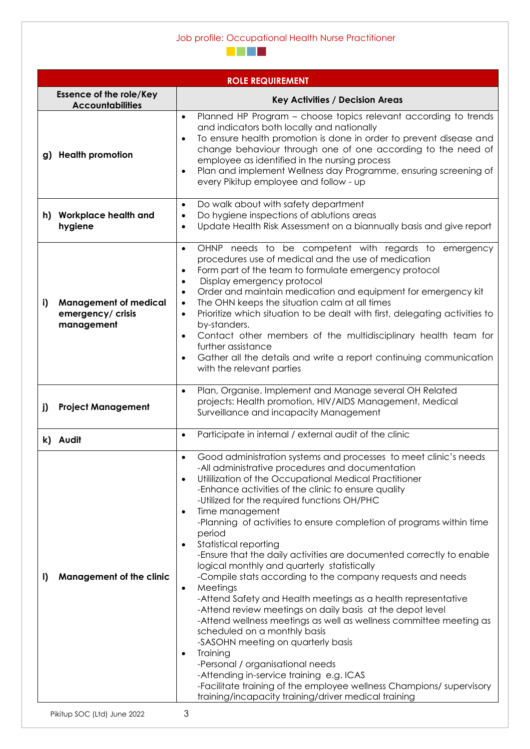# Job profile: Occupational Health Nurse Practitioner



|    |                                                                 | <b>ROLE REQUIREMENT</b>                                                                                                                                                                                                                                                                                                                                                                                                                                                                                                                                                                                                                                                                                                                                                                                                                                                                                                                                                                                                                                                                                                                                                       |
|----|-----------------------------------------------------------------|-------------------------------------------------------------------------------------------------------------------------------------------------------------------------------------------------------------------------------------------------------------------------------------------------------------------------------------------------------------------------------------------------------------------------------------------------------------------------------------------------------------------------------------------------------------------------------------------------------------------------------------------------------------------------------------------------------------------------------------------------------------------------------------------------------------------------------------------------------------------------------------------------------------------------------------------------------------------------------------------------------------------------------------------------------------------------------------------------------------------------------------------------------------------------------|
|    | <b>Essence of the role/Key</b><br><b>Accountabilities</b>       | <b>Key Activities / Decision Areas</b>                                                                                                                                                                                                                                                                                                                                                                                                                                                                                                                                                                                                                                                                                                                                                                                                                                                                                                                                                                                                                                                                                                                                        |
|    | g) Health promotion                                             | Planned HP Program – choose topics relevant according to trends<br>$\bullet$<br>and indicators both locally and nationally<br>To ensure health promotion is done in order to prevent disease and<br>change behaviour through one of one according to the need of<br>employee as identified in the nursing process<br>Plan and implement Wellness day Programme, ensuring screening of<br>$\bullet$<br>every Pikitup employee and follow - up                                                                                                                                                                                                                                                                                                                                                                                                                                                                                                                                                                                                                                                                                                                                  |
|    | h) Workplace health and<br>hygiene                              | Do walk about with safety department<br>$\bullet$<br>Do hygiene inspections of ablutions areas<br>$\bullet$<br>Update Health Risk Assessment on a biannually basis and give report<br>$\bullet$                                                                                                                                                                                                                                                                                                                                                                                                                                                                                                                                                                                                                                                                                                                                                                                                                                                                                                                                                                               |
| i) | <b>Management of medical</b><br>emergency/ crisis<br>management | OHNP needs to be competent with regards to emergency<br>$\bullet$<br>procedures use of medical and the use of medication<br>Form part of the team to formulate emergency protocol<br>$\bullet$<br>Display emergency protocol<br>$\bullet$<br>Order and maintain medication and equipment for emergency kit<br>$\bullet$<br>The OHN keeps the situation calm at all times<br>$\bullet$<br>Prioritize which situation to be dealt with first, delegating activities to<br>$\bullet$<br>by-standers.<br>Contact other members of the multidisciplinary health team for<br>further assistance<br>Gather all the details and write a report continuing communication<br>$\bullet$<br>with the relevant parties                                                                                                                                                                                                                                                                                                                                                                                                                                                                     |
| j) | <b>Project Management</b>                                       | Plan, Organise, Implement and Manage several OH Related<br>$\bullet$<br>projects: Health promotion, HIV/AIDS Management, Medical<br>Surveillance and incapacity Management                                                                                                                                                                                                                                                                                                                                                                                                                                                                                                                                                                                                                                                                                                                                                                                                                                                                                                                                                                                                    |
|    | k) Audit                                                        | Participate in internal / external audit of the clinic<br>$\bullet$                                                                                                                                                                                                                                                                                                                                                                                                                                                                                                                                                                                                                                                                                                                                                                                                                                                                                                                                                                                                                                                                                                           |
| I) | <b>Management of the clinic</b>                                 | Good administration systems and processes to meet clinic's needs<br>-All administrative procedures and documentation<br>Utililization of the Occupational Medical Practitioner<br>$\bullet$<br>-Enhance activities of the clinic to ensure quality<br>-Utilized for the required functions OH/PHC<br>Time management<br>-Planning of activities to ensure completion of programs within time<br>period<br>Statistical reporting<br>$\bullet$<br>-Ensure that the daily activities are documented correctly to enable<br>logical monthly and quarterly statistically<br>-Compile stats according to the company requests and needs<br>Meetings<br>$\bullet$<br>-Attend Safety and Health meetings as a health representative<br>-Attend review meetings on daily basis at the depot level<br>-Attend wellness meetings as well as wellness committee meeting as<br>scheduled on a monthly basis<br>-SASOHN meeting on quarterly basis<br>Training<br>$\bullet$<br>-Personal / organisational needs<br>-Attending in-service training e.g. ICAS<br>-Facilitate training of the employee wellness Champions/ supervisory<br>training/incapacity training/driver medical training |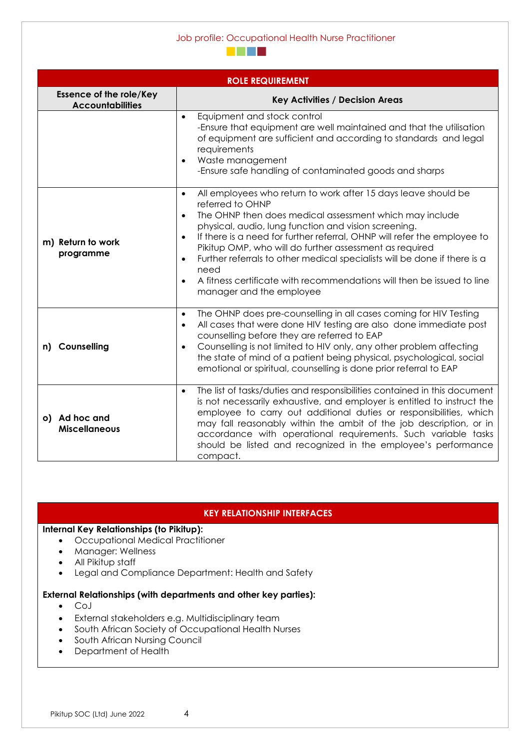#### Job profile: Occupational Health Nurse Practitioner



|                                                           | <b>ROLE REQUIREMENT</b>                                                                                                                                                                                                                                                                                                                                                                                                                                                                                                                                           |
|-----------------------------------------------------------|-------------------------------------------------------------------------------------------------------------------------------------------------------------------------------------------------------------------------------------------------------------------------------------------------------------------------------------------------------------------------------------------------------------------------------------------------------------------------------------------------------------------------------------------------------------------|
| <b>Essence of the role/Key</b><br><b>Accountabilities</b> | <b>Key Activities / Decision Areas</b>                                                                                                                                                                                                                                                                                                                                                                                                                                                                                                                            |
|                                                           | Equipment and stock control<br>$\bullet$<br>-Ensure that equipment are well maintained and that the utilisation<br>of equipment are sufficient and according to standards and legal<br>requirements<br>Waste management<br>-Ensure safe handling of contaminated goods and sharps                                                                                                                                                                                                                                                                                 |
| m) Return to work<br>programme                            | All employees who return to work after 15 days leave should be<br>$\bullet$<br>referred to OHNP<br>The OHNP then does medical assessment which may include<br>$\bullet$<br>physical, audio, lung function and vision screening.<br>If there is a need for further referral, OHNP will refer the employee to<br>Pikitup OMP, who will do further assessment as required<br>Further referrals to other medical specialists will be done if there is a<br>need<br>A fitness certificate with recommendations will then be issued to line<br>manager and the employee |
| n) Counselling                                            | The OHNP does pre-counselling in all cases coming for HIV Testing<br>$\bullet$<br>All cases that were done HIV testing are also done immediate post<br>$\bullet$<br>counselling before they are referred to EAP<br>Counselling is not limited to HIV only, any other problem affecting<br>$\bullet$<br>the state of mind of a patient being physical, psychological, social<br>emotional or spiritual, counselling is done prior referral to EAP                                                                                                                  |
| o) Ad hoc and<br><b>Miscellaneous</b>                     | The list of tasks/duties and responsibilities contained in this document<br>$\bullet$<br>is not necessarily exhaustive, and employer is entitled to instruct the<br>employee to carry out additional duties or responsibilities, which<br>may fall reasonably within the ambit of the job description, or in<br>accordance with operational requirements. Such variable tasks<br>should be listed and recognized in the employee's performance<br>compact.                                                                                                        |

### **KEY RELATIONSHIP INTERFACES**

### **Internal Key Relationships (to Pikitup):**

- Occupational Medical Practitioner
- Manager: Wellness
- All Pikitup staff
- Legal and Compliance Department: Health and Safety

### **External Relationships (with departments and other key parties):**

- CoJ
- External stakeholders e.g. Multidisciplinary team
- South African Society of Occupational Health Nurses
- South African Nursing Council
- Department of Health